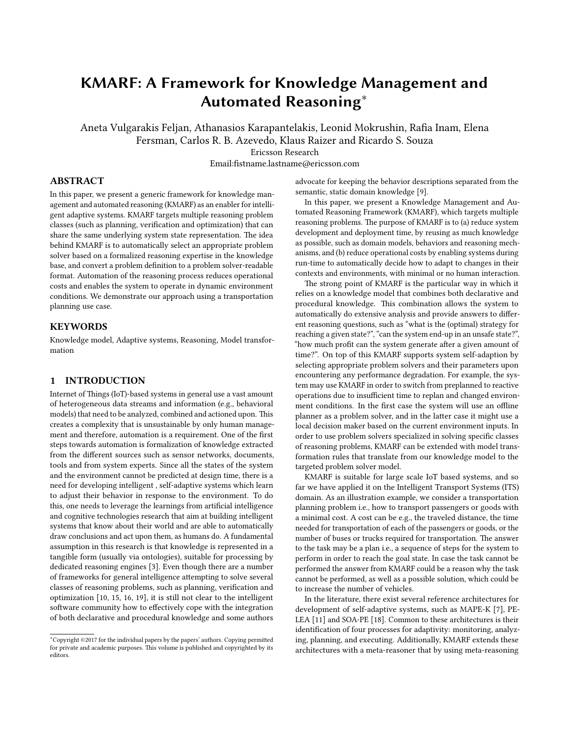# KMARF: A Framework for Knowledge Management and Automated Reasoning<sup>∗</sup>

Aneta Vulgarakis Feljan, Athanasios Karapantelakis, Leonid Mokrushin, Rafia Inam, Elena Fersman, Carlos R. B. Azevedo, Klaus Raizer and Ricardo S. Souza Ericsson Research Email:fistname.lastname@ericsson.com

## ABSTRACT

In this paper, we present a generic framework for knowledge management and automated reasoning (KMARF) as an enabler for intelligent adaptive systems. KMARF targets multiple reasoning problem classes (such as planning, verification and optimization) that can share the same underlying system state representation. The idea behind KMARF is to automatically select an appropriate problem solver based on a formalized reasoning expertise in the knowledge base, and convert a problem definition to a problem solver-readable format. Automation of the reasoning process reduces operational costs and enables the system to operate in dynamic environment conditions. We demonstrate our approach using a transportation planning use case.

## **KEYWORDS**

Knowledge model, Adaptive systems, Reasoning, Model transformation

## <span id="page-0-0"></span>1 INTRODUCTION

Internet of Things (IoT)-based systems in general use a vast amount of heterogeneous data streams and information (e.g., behavioral models) that need to be analyzed, combined and actioned upon. This creates a complexity that is unsustainable by only human management and therefore, automation is a requirement. One of the first steps towards automation is formalization of knowledge extracted from the different sources such as sensor networks, documents, tools and from system experts. Since all the states of the system and the environment cannot be predicted at design time, there is a need for developing intelligent , self-adaptive systems which learn to adjust their behavior in response to the environment. To do this, one needs to leverage the learnings from artificial intelligence and cognitive technologies research that aim at building intelligent systems that know about their world and are able to automatically draw conclusions and act upon them, as humans do. A fundamental assumption in this research is that knowledge is represented in a tangible form (usually via ontologies), suitable for processing by dedicated reasoning engines [\[3\]](#page-4-0). Even though there are a number of frameworks for general intelligence attempting to solve several classes of reasoning problems, such as planning, verification and optimization [\[10,](#page-4-1) [15,](#page-4-2) [16,](#page-4-3) [19\]](#page-4-4), it is still not clear to the intelligent software community how to effectively cope with the integration of both declarative and procedural knowledge and some authors

advocate for keeping the behavior descriptions separated from the semantic, static domain knowledge [\[9\]](#page-4-5).

In this paper, we present a Knowledge Management and Automated Reasoning Framework (KMARF), which targets multiple reasoning problems. The purpose of KMARF is to (a) reduce system development and deployment time, by reusing as much knowledge as possible, such as domain models, behaviors and reasoning mechanisms, and (b) reduce operational costs by enabling systems during run-time to automatically decide how to adapt to changes in their contexts and environments, with minimal or no human interaction.

The strong point of KMARF is the particular way in which it relies on a knowledge model that combines both declarative and procedural knowledge. This combination allows the system to automatically do extensive analysis and provide answers to different reasoning questions, such as "what is the (optimal) strategy for reaching a given state?", "can the system end-up in an unsafe state?", "how much profit can the system generate after a given amount of time?". On top of this KMARF supports system self-adaption by selecting appropriate problem solvers and their parameters upon encountering any performance degradation. For example, the system may use KMARF in order to switch from preplanned to reactive operations due to insufficient time to replan and changed environment conditions. In the first case the system will use an offline planner as a problem solver, and in the latter case it might use a local decision maker based on the current environment inputs. In order to use problem solvers specialized in solving specific classes of reasoning problems, KMARF can be extended with model transformation rules that translate from our knowledge model to the targeted problem solver model.

KMARF is suitable for large scale IoT based systems, and so far we have applied it on the Intelligent Transport Systems (ITS) domain. As an illustration example, we consider a transportation planning problem i.e., how to transport passengers or goods with a minimal cost. A cost can be e.g., the traveled distance, the time needed for transportation of each of the passengers or goods, or the number of buses or trucks required for transportation. The answer to the task may be a plan i.e., a sequence of steps for the system to perform in order to reach the goal state. In case the task cannot be performed the answer from KMARF could be a reason why the task cannot be performed, as well as a possible solution, which could be to increase the number of vehicles.

In the literature, there exist several reference architectures for development of self-adaptive systems, such as MAPE-K [\[7\]](#page-4-6), PE-LEA [\[11\]](#page-4-7) and SOA-PE [\[18\]](#page-4-8). Common to these architectures is their identification of four processes for adaptivity: monitoring, analyzing, planning, and executing. Additionally, KMARF extends these architectures with a meta-reasoner that by using meta-reasoning

<sup>∗</sup>Copyright ©2017 for the individual papers by the papers' authors. Copying permied for private and academic purposes. This volume is published and copyrighted by its editors.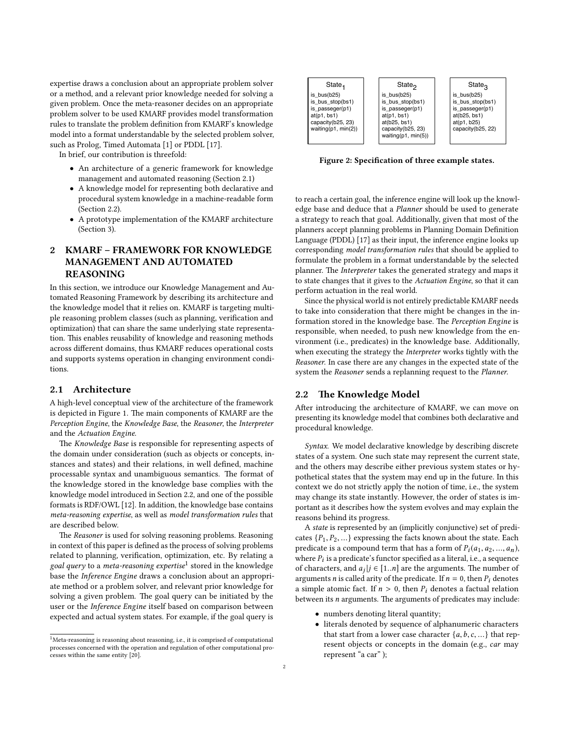expertise draws a conclusion about an appropriate problem solver or a method, and a relevant prior knowledge needed for solving a given problem. Once the meta-reasoner decides on an appropriate problem solver to be used KMARF provides model transformation rules to translate the problem definition from KMARF's knowledge model into a format understandable by the selected problem solver, such as Prolog, Timed Automata [\[1\]](#page-4-9) or PDDL [\[17\]](#page-4-10).

In brief, our contribution is threefold:

- An architecture of a generic framework for knowledge management and automated reasoning (Section [2.1\)](#page-1-0)
- A knowledge model for representing both declarative and procedural system knowledge in a machine-readable form (Section [2.2\)](#page-1-1).
- A prototype implementation of the KMARF architecture (Section [3\)](#page-3-0).

# 2 KMARF – FRAMEWORK FOR KNOWLEDGE MANAGEMENT AND AUTOMATED REASONING

In this section, we introduce our Knowledge Management and Automated Reasoning Framework by describing its architecture and the knowledge model that it relies on. KMARF is targeting multiple reasoning problem classes (such as planning, verification and optimization) that can share the same underlying state representation. This enables reusability of knowledge and reasoning methods across different domains, thus KMARF reduces operational costs and supports systems operation in changing environment conditions.

#### <span id="page-1-0"></span>2.1 Architecture

A high-level conceptual view of the architecture of the framework is depicted in Figure [1.](#page-2-0) The main components of KMARF are the Perception Engine, the Knowledge Base, the Reasoner, the Interpreter and the Actuation Engine.

The Knowledge Base is responsible for representing aspects of the domain under consideration (such as objects or concepts, instances and states) and their relations, in well defined, machine processable syntax and unambiguous semantics. The format of the knowledge stored in the knowledge base complies with the knowledge model introduced in Section [2.2,](#page-1-1) and one of the possible formats is RDF/OWL [\[12\]](#page-4-11). In addition, the knowledge base contains meta-reasoning expertise, as well as model transformation rules that are described below.

The Reasoner is used for solving reasoning problems. Reasoning in context of this paper is defined as the process of solving problems related to planning, verification, optimization, etc. By relating a goal query to a meta-reasoning expertise<sup>[1](#page-1-2)</sup> stored in the knowledge base the Inference Engine draws a conclusion about an appropriate method or a problem solver, and relevant prior knowledge for solving a given problem. The goal query can be initiated by the user or the Inference Engine itself based on comparison between expected and actual system states. For example, if the goal query is

<span id="page-1-3"></span>

Figure 2: Specification of three example states.

to reach a certain goal, the inference engine will look up the knowledge base and deduce that a Planner should be used to generate a strategy to reach that goal. Additionally, given that most of the planners accept planning problems in Planning Domain Definition Language (PDDL) [\[17\]](#page-4-10) as their input, the inference engine looks up corresponding model transformation rules that should be applied to formulate the problem in a format understandable by the selected planner. The Interpreter takes the generated strategy and maps it to state changes that it gives to the Actuation Engine, so that it can perform actuation in the real world.

Since the physical world is not entirely predictable KMARF needs to take into consideration that there might be changes in the information stored in the knowledge base. The Perception Engine is responsible, when needed, to push new knowledge from the environment (i.e., predicates) in the knowledge base. Additionally, when executing the strategy the Interpreter works tightly with the Reasoner. In case there are any changes in the expected state of the system the Reasoner sends a replanning request to the Planner.

#### <span id="page-1-1"></span>2.2 The Knowledge Model

After introducing the architecture of KMARF, we can move on presenting its knowledge model that combines both declarative and procedural knowledge.

Syntax. We model declarative knowledge by describing discrete states of a system. One such state may represent the current state, and the others may describe either previous system states or hypothetical states that the system may end up in the future. In this context we do not strictly apply the notion of time, i.e., the system may change its state instantly. However, the order of states is important as it describes how the system evolves and may explain the reasons behind its progress.

A state is represented by an (implicitly conjunctive) set of predicates  $\{P_1, P_2, ...\}$  expressing the facts known about the state. Each predicate is a compound term that has a form of  $P_i(a_1, a_2, ..., a_n)$ , where  $P_i$  is a predicate's functor specified as a literal, i.e., a sequence<br>of characters, and  $a_i|i \in [1, n]$  are the arguments. The number of of characters, and  $a_j | j \in [1..n]$  are the arguments. The number of arguments *n* is called arity of the predicate If  $n = 0$ , then *P*, denotes arguments *n* is called arity of the predicate. If  $n = 0$ , then  $P_i$  denotes a simple atomic fact. If  $n > 0$ , then  $P_i$  denotes a factual relation between its  $n$  arguments. The arguments of predicates may include:

- numbers denoting literal quantity;
- literals denoted by sequence of alphanumeric characters that start from a lower case character  $\{a, b, c, ...\}$  that represent objects or concepts in the domain (e.g., car may represent "a car" );

<span id="page-1-2"></span> $^{1}$ Meta-reasoning is reasoning about reasoning, i.e., it is comprised of computational processes concerned with the operation and regulation of other computational processes within the same entity [\[20\]](#page-5-0).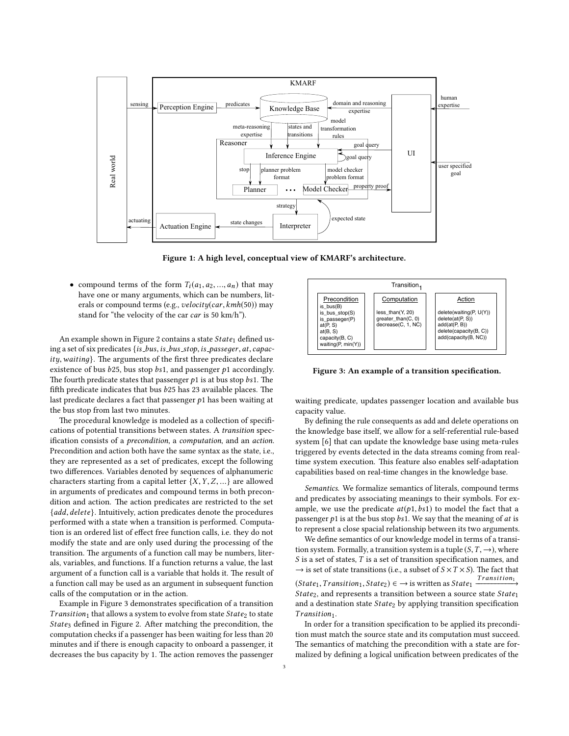<span id="page-2-0"></span>

Figure 1: A high level, conceptual view of KMARF's architecture.

• compound terms of the form  $T_i(a_1, a_2, ..., a_n)$  that may have one or many arguments, which can be numbers, literals or compound terms (e.g., velocity(car, kmh(50)) may stand for "the velocity of the car car is 50 km/h").

An example shown in Figure [2](#page-1-3) contains a state  $State_1$  defined using a set of six predicates  $\{is\_bus, is\_bus\_stop, is\_password, at, capac$  $ity, waiting\}$ . The arguments of the first three predicates declare existence of bus  $b25$ , bus stop  $bs1$ , and passenger  $p1$  accordingly. The fourth predicate states that passenger  $p1$  is at bus stop  $bs1$ . The fifth predicate indicates that bus  $b25$  has 23 available places. The last predicate declares a fact that passenger  $p_1$  has been waiting at the bus stop from last two minutes.

The procedural knowledge is modeled as a collection of specifications of potential transitions between states. A transition specification consists of a *precondition*, a *computation*, and an *action*. Precondition and action both have the same syntax as the state, i.e., they are represented as a set of predicates, except the following two differences. Variables denoted by sequences of alphanumeric characters starting from a capital letter  $\{X, Y, Z, ...\}$  are allowed in arguments of predicates and compound terms in both precondition and action. The action predicates are restricted to the set {add, delete}. Intuitively, action predicates denote the procedures performed with a state when a transition is performed. Computation is an ordered list of effect free function calls, i.e. they do not modify the state and are only used during the processing of the transition. The arguments of a function call may be numbers, literals, variables, and functions. If a function returns a value, the last argument of a function call is a variable that holds it. The result of a function call may be used as an argument in subsequent function calls of the computation or in the action.

Example in Figure [3](#page-2-1) demonstrates specification of a transition Transition<sub>1</sub> that allows a system to evolve from state State<sub>2</sub> to state State<sub>3</sub> defined in Figure [2.](#page-1-3) After matching the precondition, the computation checks if a passenger has been waiting for less than 20 minutes and if there is enough capacity to onboard a passenger, it decreases the bus capacity by 1. The action removes the passenger

<span id="page-2-1"></span>

Figure 3: An example of a transition specification.

waiting predicate, updates passenger location and available bus capacity value.

By defining the rule consequents as add and delete operations on the knowledge base itself, we allow for a self-referential rule-based system [\[6\]](#page-4-12) that can update the knowledge base using meta-rules triggered by events detected in the data streams coming from realtime system execution. This feature also enables self-adaptation capabilities based on real-time changes in the knowledge base.

Semantics. We formalize semantics of literals, compound terms and predicates by associating meanings to their symbols. For example, we use the predicate  $at(p1,bs1)$  to model the fact that a passenger  $p1$  is at the bus stop  $bs1$ . We say that the meaning of  $at$  is to represent a close spacial relationship between its two arguments.

We define semantics of our knowledge model in terms of a transition system. Formally, a transition system is a tuple  $(S, T, \rightarrow)$ , where *S* is a set of states, *T* is a set of transition specification names, and  $\rightarrow$  is set of state transitions (i.e., a subset of *S* × *T* × *S*). The fact that  $\rightarrow$  is set of state transitions (i.e., a subset of  $S \times T \times S$ ). The fact that <br>*Transition*  $(State_1, Transition_1, State_2) \in \rightarrow \text{ is written as State}_1 \frac{Transition_1}{}$ <br>State<sub>2</sub> and represents a transition between a source state States State<sub>2</sub>, and represents a transition between a source state State<sub>1</sub> and a destination state  $State_2$  by applying transition specification **.** 

In order for a transition specification to be applied its precondition must match the source state and its computation must succeed. The semantics of matching the precondition with a state are formalized by defining a logical unification between predicates of the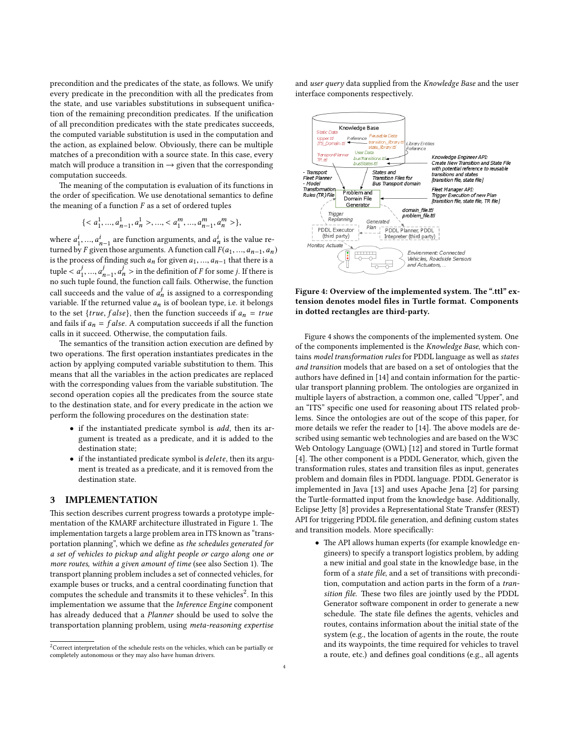precondition and the predicates of the state, as follows. We unify every predicate in the precondition with all the predicates from the state, and use variables substitutions in subsequent unification of the remaining precondition predicates. If the unification of all precondition predicates with the state predicates succeeds, the computed variable substitution is used in the computation and the action, as explained below. Obviously, there can be multiple matches of a precondition with a source state. In this case, every match will produce a transition in  $\rightarrow$  given that the corresponding computation succeeds.

The meaning of the computation is evaluation of its functions in the order of specification. We use denotational semantics to define the meaning of a function  $F$  as a set of ordered tuples

$$
\{< a_1^1, \ldots, a_{n-1}^1, a_n^1 > \ldots, < a_1^m, \ldots, a_{n-1}^m, a_n^m > \},
$$

where  $a_1^i, ..., a_{n-1}^i$  are function arguments, and  $a_n^i$  is the value re-<br>turned by E given those arguments. A function call  $E(a_1, ..., a_{n-1}, a_n)$ turned by F given those arguments. A function call  $F(a_1, ..., a_{n-1}, a_n)$ <br>is the process of finding such a for given a is the process of finding such  $a_n$  for given  $a_1, ..., a_{n-1}$  that there is a  $\text{tuple} < a_1^j$ 1 no such tuple found, the function call fails. Otherwise, the function  $j_{n-1}$ ,  $a_n^j >$  in the definition of F for some j. If there is<br>a und the function call fails. Otherwise, the function call succeeds and the value of  $a_n^j$  is assigned to a corresponding<br>variable. If the returned value a is of boolean time i.e. it belongs variable. If the returned value  $a_n$  is of boolean type, i.e. it belongs to the set  $\{true, false\}$ , then the function succeeds if  $a_n = true$ and fails if  $a_n = false$ . A computation succeeds if all the function calls in it succeed. Otherwise, the computation fails.

The semantics of the transition action execution are defined by two operations. The first operation instantiates predicates in the action by applying computed variable substitution to them. This means that all the variables in the action predicates are replaced with the corresponding values from the variable substitution. The second operation copies all the predicates from the source state to the destination state, and for every predicate in the action we perform the following procedures on the destination state:

- if the instantiated predicate symbol is add, then its argument is treated as a predicate, and it is added to the destination state;
- if the instantiated predicate symbol is delete, then its argument is treated as a predicate, and it is removed from the destination state.

## <span id="page-3-0"></span>3 IMPLEMENTATION

This section describes current progress towards a prototype imple-mentation of the KMARF architecture illustrated in Figure [1.](#page-2-0) The implementation targets a large problem area in ITS known as "transportation planning", which we define as the schedules generated for a set of vehicles to pickup and alight people or cargo along one or more routes, within a given amount of time (see also Section [1\)](#page-0-0). The transport planning problem includes a set of connected vehicles, for example buses or trucks, and a central coordinating function that computes the schedule and transmits it to these vehicles<sup>[2](#page-3-1)</sup>. In this implementation we assume that the Inference Engine component has already deduced that a Planner should be used to solve the transportation planning problem, using meta-reasoning expertise

and user query data supplied from the Knowledge Base and the user interface components respectively.

<span id="page-3-2"></span>

Figure 4: Overview of the implemented system. The ".ttl" extension denotes model files in Turtle format. Components in dotted rectangles are third-party.

Figure [4](#page-3-2) shows the components of the implemented system. One of the components implemented is the Knowledge Base, which contains model transformation rules for PDDL language as well as states and transition models that are based on a set of ontologies that the authors have defined in [\[14\]](#page-4-13) and contain information for the particular transport planning problem. The ontologies are organized in multiple layers of abstraction, a common one, called "Upper", and an "ITS" specific one used for reasoning about ITS related problems. Since the ontologies are out of the scope of this paper, for more details we refer the reader to [\[14\]](#page-4-13). The above models are described using semantic web technologies and are based on the W3C Web Ontology Language (OWL) [\[12\]](#page-4-11) and stored in Turtle format [\[4\]](#page-4-14). The other component is a PDDL Generator, which, given the transformation rules, states and transition files as input, generates problem and domain files in PDDL language. PDDL Generator is implemented in Java [\[13\]](#page-4-15) and uses Apache Jena [\[2\]](#page-4-16) for parsing the Turtle-formatted input from the knowledge base. Additionally, Eclipse Jetty [\[8\]](#page-4-17) provides a Representational State Transfer (REST) API for triggering PDDL file generation, and defining custom states and transition models. More specifically:

• The API allows human experts (for example knowledge engineers) to specify a transport logistics problem, by adding a new initial and goal state in the knowledge base, in the form of a state file, and a set of transitions with precondition, computation and action parts in the form of a transition file. These two files are jointly used by the PDDL Generator software component in order to generate a new schedule. The state file defines the agents, vehicles and routes, contains information about the initial state of the system (e.g., the location of agents in the route, the route and its waypoints, the time required for vehicles to travel a route, etc.) and defines goal conditions (e.g., all agents

<span id="page-3-1"></span><sup>&</sup>lt;sup>2</sup>Correct interpretation of the schedule rests on the vehicles, which can be partially or completely autonomous or they may also have human drivers.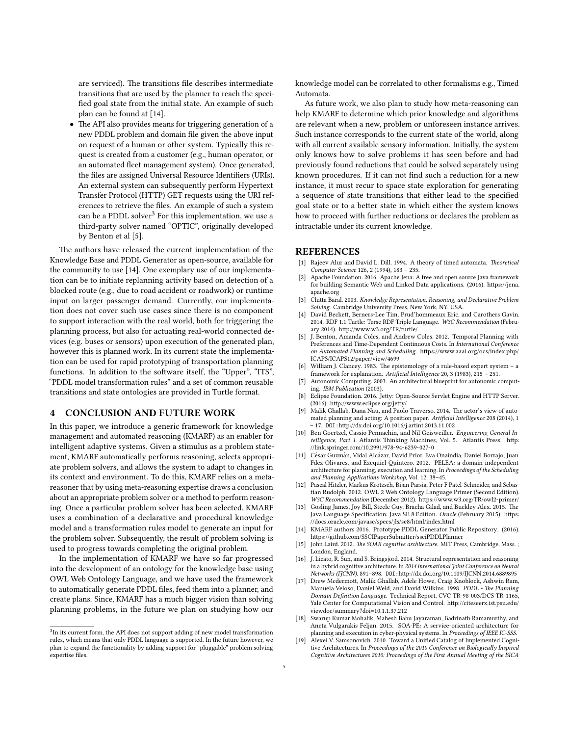are serviced). The transitions file describes intermediate transitions that are used by the planner to reach the speci fied goal state from the initial state. An example of such plan can be found at [\[14\]](#page-4-13).

• The API also provides means for triggering generation of a new PDDL problem and domain file given the above input on request of a human or other system. Typically this request is created from a customer (e.g., human operator, or an automated fleet management system). Once generated, the files are assigned Universal Resource Identifiers (URIs). An external system can subsequently perform Hypertext Transfer Protocol (HTTP) GET requests using the URI references to retrieve the files. An example of such a system can be a PDDL solver<sup>[3](#page-4-18)</sup> For this implementation, we use a third-party solver named "OPTIC", originally developed by Benton et al [\[5\]](#page-4-19).

The authors have released the current implementation of the Knowledge Base and PDDL Generator as open-source, available for the community to use [\[14\]](#page-4-13). One exemplary use of our implementation can be to initiate replanning activity based on detection of a blocked route (e.g., due to road accident or roadwork) or runtime input on larger passenger demand. Currently, our implementation does not cover such use cases since there is no component to support interaction with the real world, both for triggering the planning process, but also for actuating real-world connected devices (e.g. buses or sensors) upon execution of the generated plan, however this is planned work. In its current state the implementation can be used for rapid prototyping of transportation planning functions. In addition to the software itself, the "Upper", "ITS", "PDDL model transformation rules" and a set of common reusable transitions and state ontologies are provided in Turtle format.

### 4 CONCLUSION AND FUTURE WORK

In this paper, we introduce a generic framework for knowledge management and automated reasoning (KMARF) as an enabler for intelligent adaptive systems. Given a stimulus as a problem statement, KMARF automatically performs reasoning, selects appropriate problem solvers, and allows the system to adapt to changes in its context and environment. To do this, KMARF relies on a metareasoner that by using meta-reasoning expertise draws a conclusion about an appropriate problem solver or a method to perform reasoning. Once a particular problem solver has been selected, KMARF uses a combination of a declarative and procedural knowledge model and a transformation rules model to generate an input for the problem solver. Subsequently, the result of problem solving is used to progress towards completing the original problem.

In the implementation of KMARF we have so far progressed into the development of an ontology for the knowledge base using OWL Web Ontology Language, and we have used the framework to automatically generate PDDL files, feed them into a planner, and create plans. Since, KMARF has a much bigger vision than solving planning problems, in the future we plan on studying how our

knowledge model can be correlated to other formalisms e.g., Timed Automata.

As future work, we also plan to study how meta-reasoning can help KMARF to determine which prior knowledge and algorithms are relevant when a new, problem or unforeseen instance arrives. Such instance corresponds to the current state of the world, along with all current available sensory information. Initially, the system only knows how to solve problems it has seen before and had previously found reductions that could be solved separately using known procedures. If it can not find such a reduction for a new instance, it must recur to space state exploration for generating a sequence of state transitions that either lead to the specified goal state or to a better state in which either the system knows how to proceed with further reductions or declares the problem as intractable under its current knowledge.

#### REFERENCES

- <span id="page-4-9"></span>Rajeev Alur and David L. Dill. 1994. A theory of timed automata. Theoretical Computer Science 126, 2 (1994), 183 – 235.
- <span id="page-4-16"></span>[2] Apache Foundation. 2016. Apache Jena: A free and open source Java framework for building Semantic Web and Linked Data applications. (2016). https://jena. [apache.org](https://jena.apache.org)
- <span id="page-4-0"></span>[3] Chitta Baral. 2003. Knowledge Representation, Reasoning, and Declarative Problem Solving. Cambridge University Press, New York, NY, USA.
- <span id="page-4-14"></span>David Beckett, Berners-Lee Tim, Prud'hommeaux Eric, and Carothers Gavin. 2014. RDF 1.1 Turtle: Terse RDF Triple Language. W3C Recommendation (February 2014). http://www.w3.org/TR/turtle/
- <span id="page-4-19"></span>[5] J. Benton, Amanda Coles, and Andrew Coles. 2012. Temporal Planning with Preferences and Time-Dependent Continuous Costs. In International Conference on Automated Planning and Scheduling. https://www.aaai.org/ocs/index.php/ [ICAPS/ICAPS12/paper/view/4699](https://www.aaai.org/ocs/index.php/ICAPS/ICAPS12/paper/view/4699)
- <span id="page-4-12"></span>[6] William J. Clancey. 1983. The epistemology of a rule-based expert system – a framework for explanation. Artificial Intelligence 20, 3 (1983), 215 - 251.
- <span id="page-4-6"></span>[7] Autonomic Computing. 2003. An architectural blueprint for autonomic computing. IBM Publication (2003).
- <span id="page-4-17"></span>[8] Eclipse Foundation. 2016. Jetty: Open-Source Servlet Engine and HTTP Server. (2016). http://www.eclipse.org/jetty/
- <span id="page-4-5"></span>Malik Ghallab, Dana Nau, and Paolo Traverso. 2014. The actor's view of automated planning and acting: A position paper. Artificial Intelligence 208 (2014), 1 – 17. DOI:[hp://dx.doi.org/10.1016/j.artint.2013.11.002](http://dx.doi.org/10.1016/j.artint.2013.11.002)
- <span id="page-4-1"></span>[10] Ben Goertzel, Cassio Pennachin, and Nil Geisweiller. Engineering General Intelligence, Part 1. Atlantis Thinking Machines, Vol. 5. Atlantis Press. http: [//link.springer.com/10.2991/978-94-6239-027-0](http://link.springer.com/10.2991/978-94-6239-027-0)
- <span id="page-4-7"></span>[11] César Guzmán, Vidal Alcázar, David Prior, Eva Onaindia, Daniel Borrajo, Juan Fdez-Olivares, and Ezequiel Quintero. 2012. PELEA: a domain-independent architecture for planning, execution and learning. In Proceedings of the Scheduling and Planning Applications Workshop, Vol. 12. 38–45.
- <span id="page-4-11"></span>[12] Pascal Hitzler, Markus Krotzsch, Bijan Parsia, Peter F Patel-Schneider, and Sebas- ¨ tian Rudolph. 2012. OWL 2 Web Ontology Language Primer (Second Edition). W3C Recommendation (December 2012). https://www.w3.org/TR/owl2-primer/
- <span id="page-4-15"></span>[13] Gosling James, Joy Bill, Steele Guy, Bracha Gilad, and Buckley Alex. 2015. The Java Language Specification: Java SE 8 Edition. Oracle (February 2015). https: [//docs.oracle.com/javase/specs/jls/se8/html/index.html](https://docs.oracle.com/javase/specs/jls/se8/html/index.html)
- <span id="page-4-13"></span>[14] KMARF authors 2016. Prototype PDDL Generator Public Repository. (2016). https://github.com/SSCIPaperSubmitter/ssciPDDLPlanner
- <span id="page-4-2"></span>[15] John Laird. 2012. The SOAR cognitive architecture. MIT Press, Cambridge, Mass. ; London, England.
- <span id="page-4-3"></span>[16] J. Licato, R. Sun, and S. Bringsjord. 2014. Structural representation and reasoning in a hybrid cognitive architecture. In 2014 International Joint Conference on Neural Networks (IJCNN). 891-898. DOI:http://dx.doi.org/10.1109/IJCNN.2014.6889895
- <span id="page-4-10"></span>[17] Drew Mcdermott, Malik Ghallab, Adele Howe, Craig Knoblock, Ashwin Ram, Manuela Veloso, Daniel Weld, and David Wilkins. 1998. PDDL - The Planning Domain Definition Language. Technical Report. CVC TR-98-003/DCS TR-1165, Yale Center for Computational Vision and Control. http://citeseerx.ist.psu.edu/ [viewdoc/summary?doi=10.1.1.37.212](http://citeseerx.ist.psu.edu/viewdoc/summary?doi=10.1.1.37.212)
- <span id="page-4-8"></span>[18] Swarup Kumar Mohalik, Mahesh Babu Jayaraman, Badrinath Ramamurthy, and Aneta Vulgarakis Feljan. 2015. SOA-PE: A service-oriented architecture for planning and execution in cyber-physical systems. In Proceedings of IEEE IC-SSS.
- <span id="page-4-4"></span>[19] Alexei V. Samsonovich. 2010. Toward a Unified Catalog of Implemented Cognitive Architectures. In Proceedings of the 2010 Conference on Biologically Inspired Cognitive Architectures 2010: Proceedings of the First Annual Meeting of the BICA

<span id="page-4-18"></span><sup>&</sup>lt;sup>3</sup>In its current form, the API does not support adding of new model transformation rules, which means that only PDDL language is supported. In the future however, we plan to expand the functionality by adding support for "pluggable" problem solving expertise files.